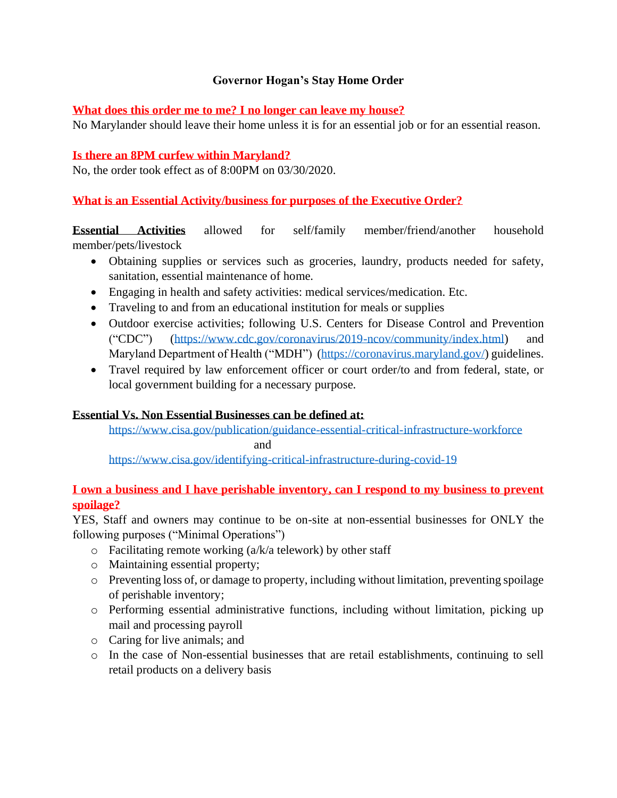# **Governor Hogan's Stay Home Order**

#### **What does this order me to me? I no longer can leave my house?**

No Marylander should leave their home unless it is for an essential job or for an essential reason.

#### **Is there an 8PM curfew within Maryland?**

No, the order took effect as of 8:00PM on 03/30/2020.

# **What is an Essential Activity/business for purposes of the Executive Order?**

**Essential Activities** allowed for self/family member/friend/another household member/pets/livestock

- Obtaining supplies or services such as groceries, laundry, products needed for safety, sanitation, essential maintenance of home.
- Engaging in health and safety activities: medical services/medication. Etc.
- Traveling to and from an educational institution for meals or supplies
- Outdoor exercise activities; following U.S. Centers for Disease Control and Prevention ("CDC") [\(https://www.cdc.gov/coronavirus/2019-ncov/community/index.html\)](https://www.cdc.gov/coronavirus/2019-ncov/community/index.html) and Maryland Department of Health ("MDH") [\(https://coronavirus.maryland.gov/\)](https://coronavirus.maryland.gov/) guidelines.
- Travel required by law enforcement officer or court order/to and from federal, state, or local government building for a necessary purpose.

# **Essential Vs. Non Essential Businesses can be defined at:**

<https://www.cisa.gov/publication/guidance-essential-critical-infrastructure-workforce> and

<https://www.cisa.gov/identifying-critical-infrastructure-during-covid-19>

# **I own a business and I have perishable inventory, can I respond to my business to prevent spoilage?**

YES, Staff and owners may continue to be on-site at non-essential businesses for ONLY the following purposes ("Minimal Operations")

- $\circ$  Facilitating remote working (a/k/a telework) by other staff
- o Maintaining essential property;
- o Preventing loss of, or damage to property, including without limitation, preventing spoilage of perishable inventory;
- o Performing essential administrative functions, including without limitation, picking up mail and processing payroll
- o Caring for live animals; and
- o In the case of Non-essential businesses that are retail establishments, continuing to sell retail products on a delivery basis